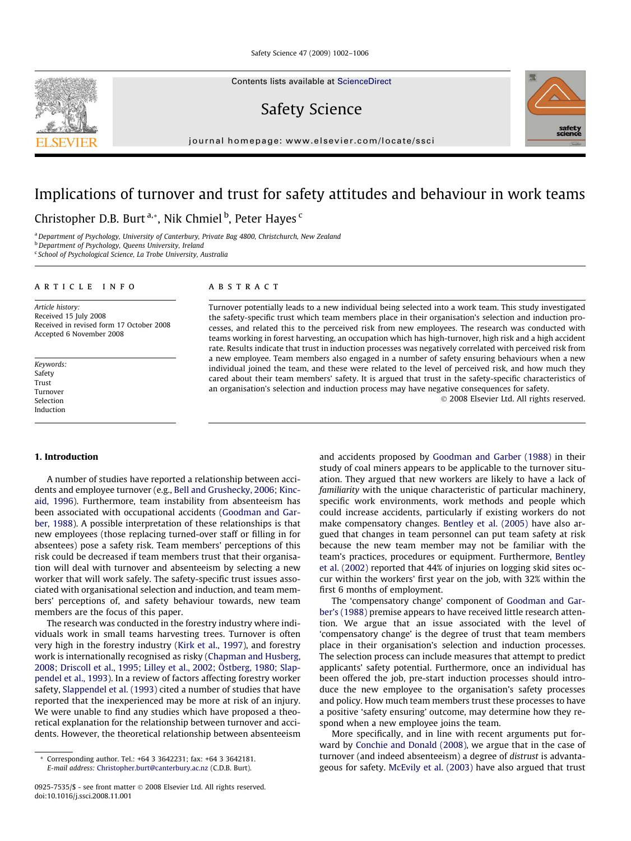Contents lists available at [ScienceDirect](http://www.sciencedirect.com/science/journal/09257535)

Safety Science

journal homepage: www.el[sevier.com/locate/ssci](http://www.elsevier.com/locate/ssci)



# Implications of turnover and trust for safety attitudes and behaviour in work teams

Christopher D.B. Burt<sup>a,</sup>\*, Nik Chmiel <sup>b</sup>, Peter Hayes <sup>c</sup>

<sup>a</sup> Department of Psychology, University of Canterbury, Private Bag 4800, Christchurch, New Zealand **b** Department of Psychology, Queens University, Ireland

<sup>c</sup> School of Psychological Science, La Trobe University, Australia

## article info

Article history: Received 15 July 2008 Received in revised form 17 October 2008 Accepted 6 November 2008

Keywords: Safety Trust Turnover Selection Induction

#### **ABSTRACT**

Turnover potentially leads to a new individual being selected into a work team. This study investigated the safety-specific trust which team members place in their organisation's selection and induction processes, and related this to the perceived risk from new employees. The research was conducted with teams working in forest harvesting, an occupation which has high-turnover, high risk and a high accident rate. Results indicate that trust in induction processes was negatively correlated with perceived risk from a new employee. Team members also engaged in a number of safety ensuring behaviours when a new individual joined the team, and these were related to the level of perceived risk, and how much they cared about their team members' safety. It is argued that trust in the safety-specific characteristics of an organisation's selection and induction process may have negative consequences for safety.

- 2008 Elsevier Ltd. All rights reserved.

### 1. Introduction

A number of studies have reported a relationship between accidents and employee turnover (e.g., [Bell and Grushecky, 2006; Kinc](#page-4-0)[aid, 1996](#page-4-0)). Furthermore, team instability from absenteeism has been associated with occupational accidents [\(Goodman and Gar](#page-4-0)[ber, 1988\)](#page-4-0). A possible interpretation of these relationships is that new employees (those replacing turned-over staff or filling in for absentees) pose a safety risk. Team members' perceptions of this risk could be decreased if team members trust that their organisation will deal with turnover and absenteeism by selecting a new worker that will work safely. The safety-specific trust issues associated with organisational selection and induction, and team members' perceptions of, and safety behaviour towards, new team members are the focus of this paper.

The research was conducted in the forestry industry where individuals work in small teams harvesting trees. Turnover is often very high in the forestry industry ([Kirk et al., 1997](#page-4-0)), and forestry work is internationally recognised as risky ([Chapman and Husberg,](#page-4-0) [2008; Driscoll et al., 1995; Lilley et al., 2002; Östberg, 1980; Slap](#page-4-0)[pendel et al., 1993\)](#page-4-0). In a review of factors affecting forestry worker safety, [Slappendel et al. \(1993\)](#page-4-0) cited a number of studies that have reported that the inexperienced may be more at risk of an injury. We were unable to find any studies which have proposed a theoretical explanation for the relationship between turnover and accidents. However, the theoretical relationship between absenteeism

and accidents proposed by [Goodman and Garber \(1988\)](#page-4-0) in their study of coal miners appears to be applicable to the turnover situation. They argued that new workers are likely to have a lack of familiarity with the unique characteristic of particular machinery, specific work environments, work methods and people which could increase accidents, particularly if existing workers do not make compensatory changes. [Bentley et al. \(2005\)](#page-4-0) have also argued that changes in team personnel can put team safety at risk because the new team member may not be familiar with the team's practices, procedures or equipment. Furthermore, [Bentley](#page-4-0) [et al. \(2002\)](#page-4-0) reported that 44% of injuries on logging skid sites occur within the workers' first year on the job, with 32% within the first 6 months of employment.

The 'compensatory change' component of [Goodman and Gar](#page-4-0)[ber's \(1988\)](#page-4-0) premise appears to have received little research attention. We argue that an issue associated with the level of 'compensatory change' is the degree of trust that team members place in their organisation's selection and induction processes. The selection process can include measures that attempt to predict applicants' safety potential. Furthermore, once an individual has been offered the job, pre-start induction processes should introduce the new employee to the organisation's safety processes and policy. How much team members trust these processes to have a positive 'safety ensuring' outcome, may determine how they respond when a new employee joins the team.

More specifically, and in line with recent arguments put forward by [Conchie and Donald \(2008\)](#page-4-0), we argue that in the case of turnover (and indeed absenteeism) a degree of distrust is advantageous for safety. [McEvily et al. \(2003\)](#page-4-0) have also argued that trust



<sup>\*</sup> Corresponding author. Tel.: +64 3 3642231; fax: +64 3 3642181. E-mail address: [Christopher.burt@canterbury.ac.nz](mailto:Christopher.burt@canterbury.ac.nz) (C.D.B. Burt).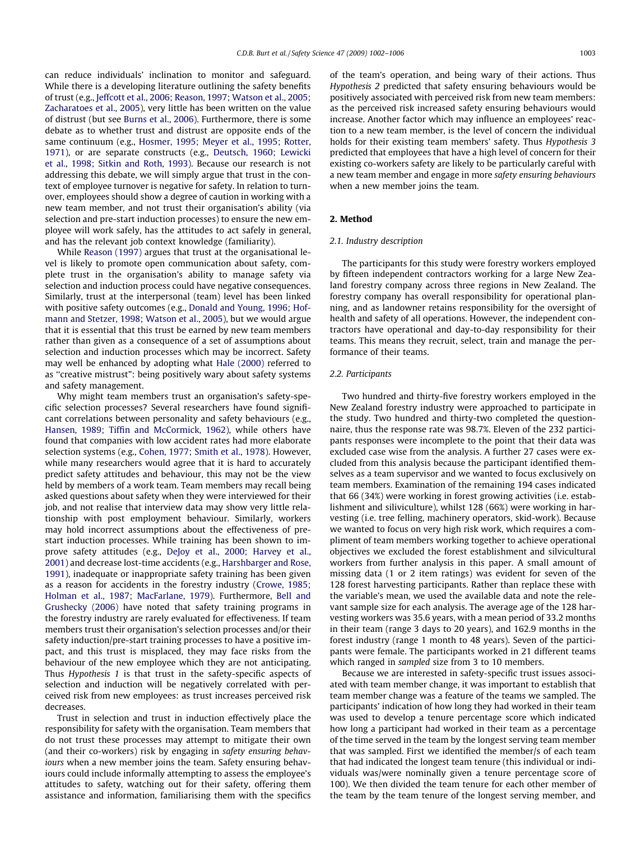can reduce individuals' inclination to monitor and safeguard. While there is a developing literature outlining the safety benefits of trust (e.g., [Jeffcott et al., 2006; Reason, 1997; Watson et al., 2005;](#page-4-0) [Zacharatoes et al., 2005](#page-4-0)), very little has been written on the value of distrust (but see [Burns et al., 2006\)](#page-4-0). Furthermore, there is some debate as to whether trust and distrust are opposite ends of the same continuum (e.g., [Hosmer, 1995; Meyer et al., 1995; Rotter,](#page-4-0) [1971\)](#page-4-0), or are separate constructs (e.g., [Deutsch, 1960; Lewicki](#page-4-0) [et al., 1998; Sitkin and Roth, 1993\)](#page-4-0). Because our research is not addressing this debate, we will simply argue that trust in the context of employee turnover is negative for safety. In relation to turnover, employees should show a degree of caution in working with a new team member, and not trust their organisation's ability (via selection and pre-start induction processes) to ensure the new employee will work safely, has the attitudes to act safely in general, and has the relevant job context knowledge (familiarity).

While [Reason \(1997\)](#page-4-0) argues that trust at the organisational level is likely to promote open communication about safety, complete trust in the organisation's ability to manage safety via selection and induction process could have negative consequences. Similarly, trust at the interpersonal (team) level has been linked with positive safety outcomes (e.g., [Donald and Young, 1996; Hof](#page-4-0)[mann and Stetzer, 1998; Watson et al., 2005](#page-4-0)), but we would argue that it is essential that this trust be earned by new team members rather than given as a consequence of a set of assumptions about selection and induction processes which may be incorrect. Safety may well be enhanced by adopting what [Hale \(2000\)](#page-4-0) referred to as ''creative mistrust": being positively wary about safety systems and safety management.

Why might team members trust an organisation's safety-specific selection processes? Several researchers have found significant correlations between personality and safety behaviours (e.g., [Hansen, 1989; Tiffin and McCormick, 1962](#page-4-0)), while others have found that companies with low accident rates had more elaborate selection systems (e.g., [Cohen, 1977; Smith et al., 1978](#page-4-0)). However, while many researchers would agree that it is hard to accurately predict safety attitudes and behaviour, this may not be the view held by members of a work team. Team members may recall being asked questions about safety when they were interviewed for their job, and not realise that interview data may show very little relationship with post employment behaviour. Similarly, workers may hold incorrect assumptions about the effectiveness of prestart induction processes. While training has been shown to improve safety attitudes (e.g., [DeJoy et al., 2000; Harvey et al.,](#page-4-0) [2001](#page-4-0)) and decrease lost-time accidents (e.g., [Harshbarger and Rose,](#page-4-0) [1991\)](#page-4-0), inadequate or inappropriate safety training has been given as a reason for accidents in the forestry industry [\(Crowe, 1985;](#page-4-0) [Holman et al., 1987; MacFarlane, 1979](#page-4-0)). Furthermore, [Bell and](#page-4-0) [Grushecky \(2006\)](#page-4-0) have noted that safety training programs in the forestry industry are rarely evaluated for effectiveness. If team members trust their organisation's selection processes and/or their safety induction/pre-start training processes to have a positive impact, and this trust is misplaced, they may face risks from the behaviour of the new employee which they are not anticipating. Thus Hypothesis 1 is that trust in the safety-specific aspects of selection and induction will be negatively correlated with perceived risk from new employees: as trust increases perceived risk decreases.

Trust in selection and trust in induction effectively place the responsibility for safety with the organisation. Team members that do not trust these processes may attempt to mitigate their own (and their co-workers) risk by engaging in safety ensuring behaviours when a new member joins the team. Safety ensuring behaviours could include informally attempting to assess the employee's attitudes to safety, watching out for their safety, offering them assistance and information, familiarising them with the specifics of the team's operation, and being wary of their actions. Thus Hypothesis 2 predicted that safety ensuring behaviours would be positively associated with perceived risk from new team members: as the perceived risk increased safety ensuring behaviours would increase. Another factor which may influence an employees' reaction to a new team member, is the level of concern the individual holds for their existing team members' safety. Thus Hypothesis 3 predicted that employees that have a high level of concern for their existing co-workers safety are likely to be particularly careful with a new team member and engage in more safety ensuring behaviours when a new member joins the team.

# 2. Method

### 2.1. Industry description

The participants for this study were forestry workers employed by fifteen independent contractors working for a large New Zealand forestry company across three regions in New Zealand. The forestry company has overall responsibility for operational planning, and as landowner retains responsibility for the oversight of health and safety of all operations. However, the independent contractors have operational and day-to-day responsibility for their teams. This means they recruit, select, train and manage the performance of their teams.

### 2.2. Participants

Two hundred and thirty-five forestry workers employed in the New Zealand forestry industry were approached to participate in the study. Two hundred and thirty-two completed the questionnaire, thus the response rate was 98.7%. Eleven of the 232 participants responses were incomplete to the point that their data was excluded case wise from the analysis. A further 27 cases were excluded from this analysis because the participant identified themselves as a team supervisor and we wanted to focus exclusively on team members. Examination of the remaining 194 cases indicated that 66 (34%) were working in forest growing activities (i.e. establishment and siliviculture), whilst 128 (66%) were working in harvesting (i.e. tree felling, machinery operators, skid-work). Because we wanted to focus on very high risk work, which requires a compliment of team members working together to achieve operational objectives we excluded the forest establishment and silvicultural workers from further analysis in this paper. A small amount of missing data (1 or 2 item ratings) was evident for seven of the 128 forest harvesting participants. Rather than replace these with the variable's mean, we used the available data and note the relevant sample size for each analysis. The average age of the 128 harvesting workers was 35.6 years, with a mean period of 33.2 months in their team (range 3 days to 20 years), and 162.9 months in the forest industry (range 1 month to 48 years). Seven of the participants were female. The participants worked in 21 different teams which ranged in sampled size from 3 to 10 members.

Because we are interested in safety-specific trust issues associated with team member change, it was important to establish that team member change was a feature of the teams we sampled. The participants' indication of how long they had worked in their team was used to develop a tenure percentage score which indicated how long a participant had worked in their team as a percentage of the time served in the team by the longest serving team member that was sampled. First we identified the member/s of each team that had indicated the longest team tenure (this individual or individuals was/were nominally given a tenure percentage score of 100). We then divided the team tenure for each other member of the team by the team tenure of the longest serving member, and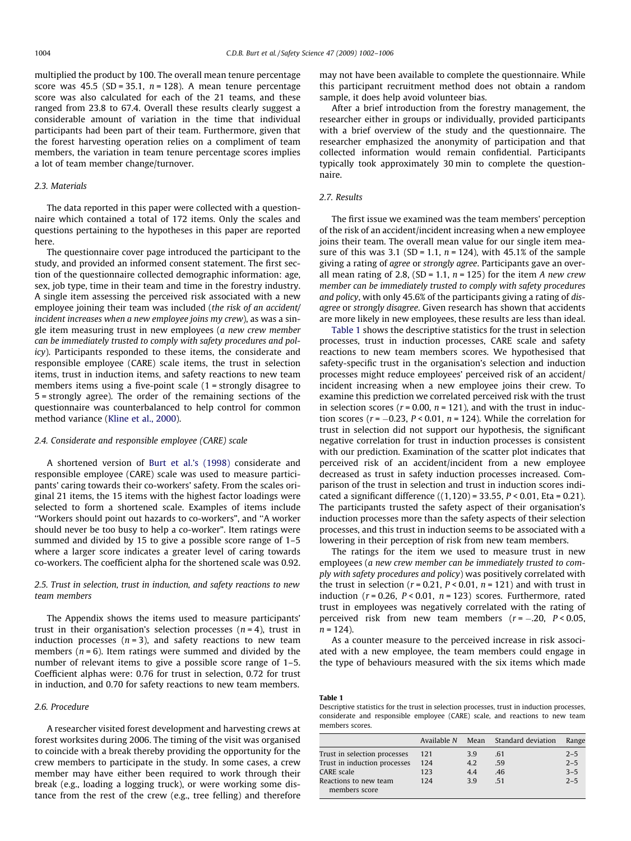multiplied the product by 100. The overall mean tenure percentage score was  $45.5$  (SD = 35.1,  $n = 128$ ). A mean tenure percentage score was also calculated for each of the 21 teams, and these ranged from 23.8 to 67.4. Overall these results clearly suggest a considerable amount of variation in the time that individual participants had been part of their team. Furthermore, given that the forest harvesting operation relies on a compliment of team members, the variation in team tenure percentage scores implies a lot of team member change/turnover.

### 2.3 Materials

The data reported in this paper were collected with a questionnaire which contained a total of 172 items. Only the scales and questions pertaining to the hypotheses in this paper are reported here.

The questionnaire cover page introduced the participant to the study, and provided an informed consent statement. The first section of the questionnaire collected demographic information: age, sex, job type, time in their team and time in the forestry industry. A single item assessing the perceived risk associated with a new employee joining their team was included (the risk of an accident/ incident increases when a new employee joins my crew), as was a single item measuring trust in new employees (a new crew member can be immediately trusted to comply with safety procedures and policy). Participants responded to these items, the considerate and responsible employee (CARE) scale items, the trust in selection items, trust in induction items, and safety reactions to new team members items using a five-point scale (1 = strongly disagree to 5 = strongly agree). The order of the remaining sections of the questionnaire was counterbalanced to help control for common method variance [\(Kline et al., 2000](#page-4-0)).

#### 2.4. Considerate and responsible employee (CARE) scale

A shortened version of [Burt et al.'s \(1998\)](#page-4-0) considerate and responsible employee (CARE) scale was used to measure participants' caring towards their co-workers' safety. From the scales original 21 items, the 15 items with the highest factor loadings were selected to form a shortened scale. Examples of items include ''Workers should point out hazards to co-workers", and ''A worker should never be too busy to help a co-worker". Item ratings were summed and divided by 15 to give a possible score range of 1–5 where a larger score indicates a greater level of caring towards co-workers. The coefficient alpha for the shortened scale was 0.92.

# 2.5. Trust in selection, trust in induction, and safety reactions to new team members

The Appendix shows the items used to measure participants' trust in their organisation's selection processes  $(n = 4)$ , trust in induction processes  $(n = 3)$ , and safety reactions to new team members ( $n = 6$ ). Item ratings were summed and divided by the number of relevant items to give a possible score range of 1–5. Coefficient alphas were: 0.76 for trust in selection, 0.72 for trust in induction, and 0.70 for safety reactions to new team members.

#### 2.6. Procedure

A researcher visited forest development and harvesting crews at forest worksites during 2006. The timing of the visit was organised to coincide with a break thereby providing the opportunity for the crew members to participate in the study. In some cases, a crew member may have either been required to work through their break (e.g., loading a logging truck), or were working some distance from the rest of the crew (e.g., tree felling) and therefore may not have been available to complete the questionnaire. While this participant recruitment method does not obtain a random sample, it does help avoid volunteer bias.

After a brief introduction from the forestry management, the researcher either in groups or individually, provided participants with a brief overview of the study and the questionnaire. The researcher emphasized the anonymity of participation and that collected information would remain confidential. Participants typically took approximately 30 min to complete the questionnaire.

# 2.7. Results

The first issue we examined was the team members' perception of the risk of an accident/incident increasing when a new employee joins their team. The overall mean value for our single item measure of this was 3.1 (SD = 1.1,  $n = 124$ ), with 45.1% of the sample giving a rating of agree or strongly agree. Participants gave an overall mean rating of 2.8, (SD = 1.1,  $n = 125$ ) for the item A new crew member can be immediately trusted to comply with safety procedures and policy, with only 45.6% of the participants giving a rating of disagree or strongly disagree. Given research has shown that accidents are more likely in new employees, these results are less than ideal.

Table 1 shows the descriptive statistics for the trust in selection processes, trust in induction processes, CARE scale and safety reactions to new team members scores. We hypothesised that safety-specific trust in the organisation's selection and induction processes might reduce employees' perceived risk of an accident/ incident increasing when a new employee joins their crew. To examine this prediction we correlated perceived risk with the trust in selection scores ( $r = 0.00$ ,  $n = 121$ ), and with the trust in induction scores ( $r = -0.23$ ,  $P < 0.01$ ,  $n = 124$ ). While the correlation for trust in selection did not support our hypothesis, the significant negative correlation for trust in induction processes is consistent with our prediction. Examination of the scatter plot indicates that perceived risk of an accident/incident from a new employee decreased as trust in safety induction processes increased. Comparison of the trust in selection and trust in induction scores indicated a significant difference  $((1,120) = 33.55, P < 0.01, Eta = 0.21).$ The participants trusted the safety aspect of their organisation's induction processes more than the safety aspects of their selection processes, and this trust in induction seems to be associated with a lowering in their perception of risk from new team members.

The ratings for the item we used to measure trust in new employees (a new crew member can be immediately trusted to comply with safety procedures and policy) was positively correlated with the trust in selection ( $r = 0.21$ ,  $P < 0.01$ ,  $n = 121$ ) and with trust in induction ( $r = 0.26$ ,  $P < 0.01$ ,  $n = 123$ ) scores. Furthermore, rated trust in employees was negatively correlated with the rating of perceived risk from new team members  $(r = -.20, P < 0.05,$  $n = 124$ ).

As a counter measure to the perceived increase in risk associated with a new employee, the team members could engage in the type of behaviours measured with the six items which made

#### Table 1

Descriptive statistics for the trust in selection processes, trust in induction processes, considerate and responsible employee (CARE) scale, and reactions to new team members scores.

|                                        | Available N | Mean | Standard deviation | Range   |
|----------------------------------------|-------------|------|--------------------|---------|
| Trust in selection processes           | 121         | 3.9  | .61                | $2 - 5$ |
| Trust in induction processes           | 124         | 4.2  | .59                | $2 - 5$ |
| <b>CARE</b> scale                      | 123         | 4.4  | .46                | $3 - 5$ |
| Reactions to new team<br>members score | 124         | 39   | .51                | $2 - 5$ |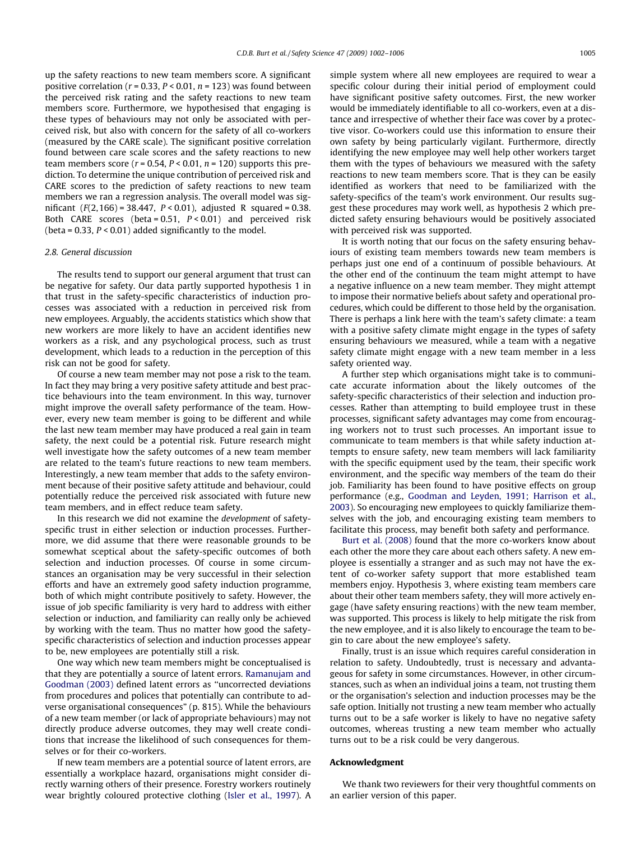up the safety reactions to new team members score. A significant positive correlation ( $r = 0.33$ ,  $P < 0.01$ ,  $n = 123$ ) was found between the perceived risk rating and the safety reactions to new team members score. Furthermore, we hypothesised that engaging is these types of behaviours may not only be associated with perceived risk, but also with concern for the safety of all co-workers (measured by the CARE scale). The significant positive correlation found between care scale scores and the safety reactions to new team members score ( $r = 0.54$ ,  $P < 0.01$ ,  $n = 120$ ) supports this prediction. To determine the unique contribution of perceived risk and CARE scores to the prediction of safety reactions to new team members we ran a regression analysis. The overall model was significant  $(F(2, 166) = 38.447, P < 0.01)$ , adjusted R squared = 0.38. Both CARE scores (beta =  $0.51$ ,  $P < 0.01$ ) and perceived risk (beta =  $0.33$ ,  $P < 0.01$ ) added significantly to the model.

## 2.8. General discussion

The results tend to support our general argument that trust can be negative for safety. Our data partly supported hypothesis 1 in that trust in the safety-specific characteristics of induction processes was associated with a reduction in perceived risk from new employees. Arguably, the accidents statistics which show that new workers are more likely to have an accident identifies new workers as a risk, and any psychological process, such as trust development, which leads to a reduction in the perception of this risk can not be good for safety.

Of course a new team member may not pose a risk to the team. In fact they may bring a very positive safety attitude and best practice behaviours into the team environment. In this way, turnover might improve the overall safety performance of the team. However, every new team member is going to be different and while the last new team member may have produced a real gain in team safety, the next could be a potential risk. Future research might well investigate how the safety outcomes of a new team member are related to the team's future reactions to new team members. Interestingly, a new team member that adds to the safety environment because of their positive safety attitude and behaviour, could potentially reduce the perceived risk associated with future new team members, and in effect reduce team safety.

In this research we did not examine the development of safetyspecific trust in either selection or induction processes. Furthermore, we did assume that there were reasonable grounds to be somewhat sceptical about the safety-specific outcomes of both selection and induction processes. Of course in some circumstances an organisation may be very successful in their selection efforts and have an extremely good safety induction programme, both of which might contribute positively to safety. However, the issue of job specific familiarity is very hard to address with either selection or induction, and familiarity can really only be achieved by working with the team. Thus no matter how good the safetyspecific characteristics of selection and induction processes appear to be, new employees are potentially still a risk.

One way which new team members might be conceptualised is that they are potentially a source of latent errors. [Ramanujam and](#page-4-0) [Goodman \(2003\)](#page-4-0) defined latent errors as ''uncorrected deviations from procedures and polices that potentially can contribute to adverse organisational consequences" (p. 815). While the behaviours of a new team member (or lack of appropriate behaviours) may not directly produce adverse outcomes, they may well create conditions that increase the likelihood of such consequences for themselves or for their co-workers.

If new team members are a potential source of latent errors, are essentially a workplace hazard, organisations might consider directly warning others of their presence. Forestry workers routinely wear brightly coloured protective clothing [\(Isler et al., 1997](#page-4-0)). A simple system where all new employees are required to wear a specific colour during their initial period of employment could have significant positive safety outcomes. First, the new worker would be immediately identifiable to all co-workers, even at a distance and irrespective of whether their face was cover by a protective visor. Co-workers could use this information to ensure their own safety by being particularly vigilant. Furthermore, directly identifying the new employee may well help other workers target them with the types of behaviours we measured with the safety reactions to new team members score. That is they can be easily identified as workers that need to be familiarized with the safety-specifics of the team's work environment. Our results suggest these procedures may work well, as hypothesis 2 which predicted safety ensuring behaviours would be positively associated with perceived risk was supported.

It is worth noting that our focus on the safety ensuring behaviours of existing team members towards new team members is perhaps just one end of a continuum of possible behaviours. At the other end of the continuum the team might attempt to have a negative influence on a new team member. They might attempt to impose their normative beliefs about safety and operational procedures, which could be different to those held by the organisation. There is perhaps a link here with the team's safety climate: a team with a positive safety climate might engage in the types of safety ensuring behaviours we measured, while a team with a negative safety climate might engage with a new team member in a less safety oriented way.

A further step which organisations might take is to communicate accurate information about the likely outcomes of the safety-specific characteristics of their selection and induction processes. Rather than attempting to build employee trust in these processes, significant safety advantages may come from encouraging workers not to trust such processes. An important issue to communicate to team members is that while safety induction attempts to ensure safety, new team members will lack familiarity with the specific equipment used by the team, their specific work environment, and the specific way members of the team do their job. Familiarity has been found to have positive effects on group performance (e.g., [Goodman and Leyden, 1991; Harrison et al.,](#page-4-0) [2003](#page-4-0)). So encouraging new employees to quickly familiarize themselves with the job, and encouraging existing team members to facilitate this process, may benefit both safety and performance.

[Burt et al. \(2008\)](#page-4-0) found that the more co-workers know about each other the more they care about each others safety. A new employee is essentially a stranger and as such may not have the extent of co-worker safety support that more established team members enjoy. Hypothesis 3, where existing team members care about their other team members safety, they will more actively engage (have safety ensuring reactions) with the new team member, was supported. This process is likely to help mitigate the risk from the new employee, and it is also likely to encourage the team to begin to care about the new employee's safety.

Finally, trust is an issue which requires careful consideration in relation to safety. Undoubtedly, trust is necessary and advantageous for safety in some circumstances. However, in other circumstances, such as when an individual joins a team, not trusting them or the organisation's selection and induction processes may be the safe option. Initially not trusting a new team member who actually turns out to be a safe worker is likely to have no negative safety outcomes, whereas trusting a new team member who actually turns out to be a risk could be very dangerous.

#### Acknowledgment

We thank two reviewers for their very thoughtful comments on an earlier version of this paper.